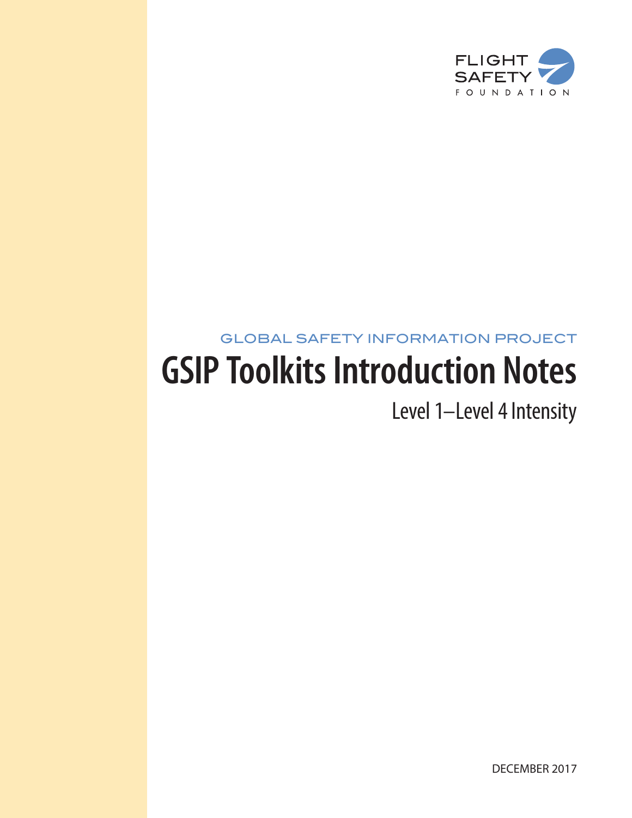

# GLOBAL SAFETY INFORMATION PROJECT **GSIP Toolkits Introduction Notes**

Level 1–Level 4 Intensity

DECEMBER 2017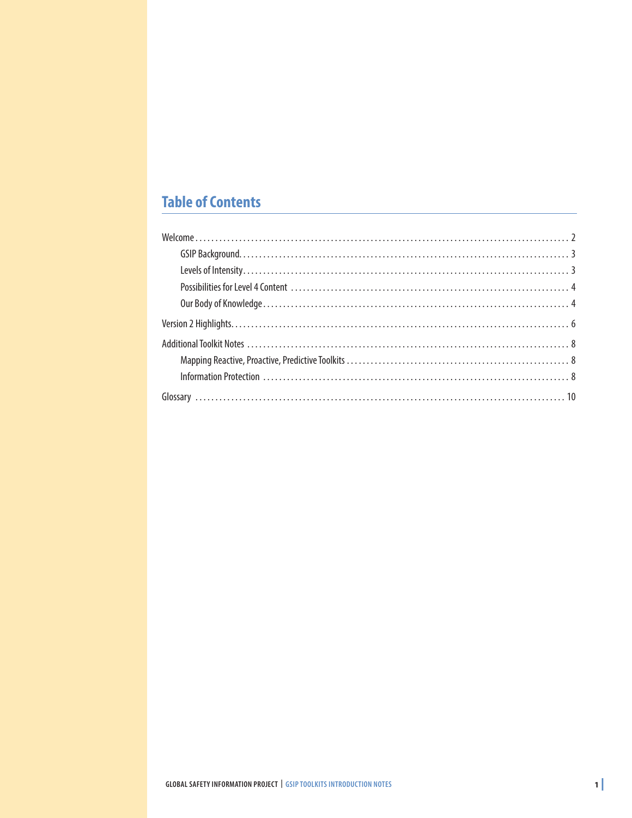## **Table of Contents**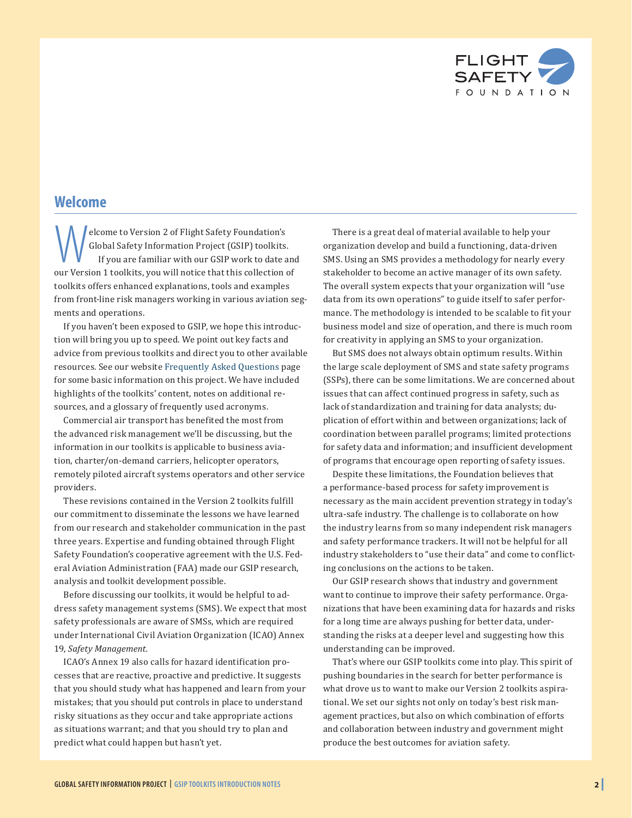

### <span id="page-2-0"></span>**Welcome**

Christery Foundation's<br>
Clobal Safety Information Project (GSIP) toolkits<br>
If you are familiar with our GSIP work to date a<br>
Nur Version 1 toolkits you will notice that this collection Global Safety Information Project (GSIP) toolkits. If you are familiar with our GSIP work to date and our Version 1 toolkits, you will notice that this collection of toolkits offers enhanced explanations, tools and examples from front-line risk managers working in various aviation segments and operations.

If you haven't been exposed to GSIP, we hope this introduction will bring you up to speed. We point out key facts and advice from previous toolkits and direct you to other available resources. See our website [Frequently Asked Questions](https://flightsafety.org/gsip/gsip-faqs/) page for some basic information on this project. We have included highlights of the toolkits' content, notes on additional resources, and a glossary of frequently used acronyms.

Commercial air transport has benefited the most from the advanced risk management we'll be discussing, but the information in our toolkits is applicable to business aviation, charter/on-demand carriers, helicopter operators, remotely piloted aircraft systems operators and other service providers.

These revisions contained in the Version 2 toolkits fulfill our commitment to disseminate the lessons we have learned from our research and stakeholder communication in the past three years. Expertise and funding obtained through Flight Safety Foundation's cooperative agreement with the U.S. Federal Aviation Administration (FAA) made our GSIP research, analysis and toolkit development possible.

Before discussing our toolkits, it would be helpful to address safety management systems (SMS). We expect that most safety professionals are aware of SMSs, which are required under International Civil Aviation Organization (ICAO) Annex 19, *Safety Management.*

ICAO's Annex 19 also calls for hazard identification processes that are reactive, proactive and predictive. It suggests that you should study what has happened and learn from your mistakes; that you should put controls in place to understand risky situations as they occur and take appropriate actions as situations warrant; and that you should try to plan and predict what could happen but hasn't yet.

There is a great deal of material available to help your organization develop and build a functioning, data-driven SMS. Using an SMS provides a methodology for nearly every stakeholder to become an active manager of its own safety. The overall system expects that your organization will "use data from its own operations" to guide itself to safer performance. The methodology is intended to be scalable to fit your business model and size of operation, and there is much room for creativity in applying an SMS to your organization.

But SMS does not always obtain optimum results. Within the large scale deployment of SMS and state safety programs (SSPs), there can be some limitations. We are concerned about issues that can affect continued progress in safety, such as lack of standardization and training for data analysts; duplication of effort within and between organizations; lack of coordination between parallel programs; limited protections for safety data and information; and insufficient development of programs that encourage open reporting of safety issues.

Despite these limitations, the Foundation believes that a performance-based process for safety improvement is necessary as the main accident prevention strategy in today's ultra-safe industry. The challenge is to collaborate on how the industry learns from so many independent risk managers and safety performance trackers. It will not be helpful for all industry stakeholders to "use their data" and come to conflicting conclusions on the actions to be taken.

Our GSIP research shows that industry and government want to continue to improve their safety performance. Organizations that have been examining data for hazards and risks for a long time are always pushing for better data, understanding the risks at a deeper level and suggesting how this understanding can be improved.

That's where our GSIP toolkits come into play. This spirit of pushing boundaries in the search for better performance is what drove us to want to make our Version 2 toolkits aspirational. We set our sights not only on today's best risk management practices, but also on which combination of efforts and collaboration between industry and government might produce the best outcomes for aviation safety.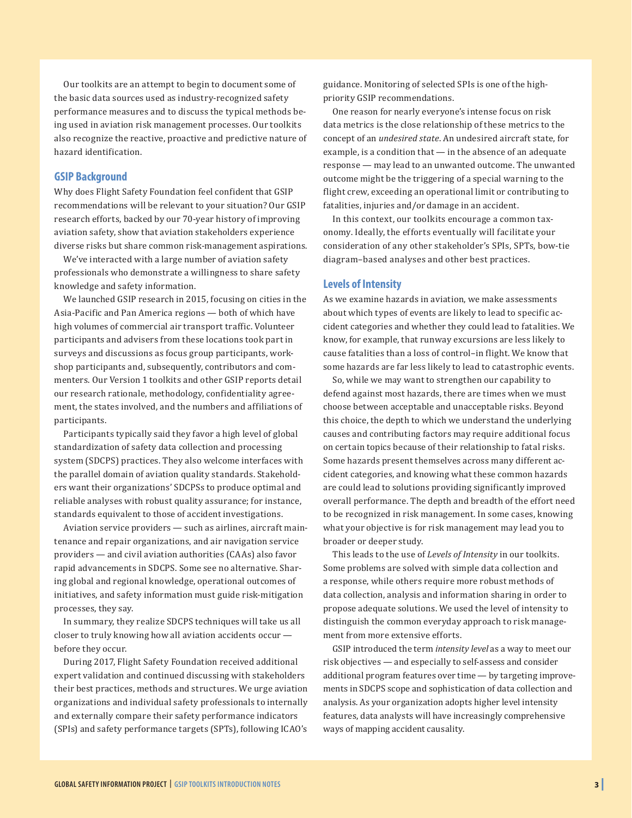<span id="page-3-0"></span>Our toolkits are an attempt to begin to document some of the basic data sources used as industry-recognized safety performance measures and to discuss the typical methods being used in aviation risk management processes. Our toolkits also recognize the reactive, proactive and predictive nature of hazard identification.

#### **GSIP Background**

Why does Flight Safety Foundation feel confident that GSIP recommendations will be relevant to your situation? Our GSIP research efforts, backed by our 70-year history of improving aviation safety, show that aviation stakeholders experience diverse risks but share common risk-management aspirations.

We've interacted with a large number of aviation safety professionals who demonstrate a willingness to share safety knowledge and safety information.

We launched GSIP research in 2015, focusing on cities in the Asia-Pacific and Pan America regions — both of which have high volumes of commercial air transport traffic. Volunteer participants and advisers from these locations took part in surveys and discussions as focus group participants, workshop participants and, subsequently, contributors and commenters. Our Version 1 toolkits and other GSIP reports detail our research rationale, methodology, confidentiality agreement, the states involved, and the numbers and affiliations of participants.

Participants typically said they favor a high level of global standardization of safety data collection and processing system (SDCPS) practices. They also welcome interfaces with the parallel domain of aviation quality standards. Stakeholders want their organizations' SDCPSs to produce optimal and reliable analyses with robust quality assurance; for instance, standards equivalent to those of accident investigations.

Aviation service providers — such as airlines, aircraft maintenance and repair organizations, and air navigation service providers — and civil aviation authorities (CAAs) also favor rapid advancements in SDCPS. Some see no alternative. Sharing global and regional knowledge, operational outcomes of initiatives, and safety information must guide risk-mitigation processes, they say.

In summary, they realize SDCPS techniques will take us all closer to truly knowing how all aviation accidents occur before they occur.

During 2017, Flight Safety Foundation received additional expert validation and continued discussing with stakeholders their best practices, methods and structures. We urge aviation organizations and individual safety professionals to internally and externally compare their safety performance indicators (SPIs) and safety performance targets (SPTs), following ICAO's

guidance. Monitoring of selected SPIs is one of the highpriority GSIP recommendations.

One reason for nearly everyone's intense focus on risk data metrics is the close relationship of these metrics to the concept of an *undesired state*. An undesired aircraft state, for example, is a condition that — in the absence of an adequate response — may lead to an unwanted outcome. The unwanted outcome might be the triggering of a special warning to the flight crew, exceeding an operational limit or contributing to fatalities, injuries and/or damage in an accident.

In this context, our toolkits encourage a common taxonomy. Ideally, the efforts eventually will facilitate your consideration of any other stakeholder's SPIs, SPTs, bow-tie diagram–based analyses and other best practices.

#### **Levels of Intensity**

As we examine hazards in aviation, we make assessments about which types of events are likely to lead to specific accident categories and whether they could lead to fatalities. We know, for example, that runway excursions are less likely to cause fatalities than a loss of control–in flight. We know that some hazards are far less likely to lead to catastrophic events.

So, while we may want to strengthen our capability to defend against most hazards, there are times when we must choose between acceptable and unacceptable risks. Beyond this choice, the depth to which we understand the underlying causes and contributing factors may require additional focus on certain topics because of their relationship to fatal risks. Some hazards present themselves across many different accident categories, and knowing what these common hazards are could lead to solutions providing significantly improved overall performance. The depth and breadth of the effort need to be recognized in risk management. In some cases, knowing what your objective is for risk management may lead you to broader or deeper study.

This leads to the use of *Levels of Intensity* in our toolkits. Some problems are solved with simple data collection and a response, while others require more robust methods of data collection, analysis and information sharing in order to propose adequate solutions. We used the level of intensity to distinguish the common everyday approach to risk management from more extensive efforts.

GSIP introduced the term *intensity level* as a way to meet our risk objectives — and especially to self-assess and consider additional program features over time — by targeting improvements in SDCPS scope and sophistication of data collection and analysis. As your organization adopts higher level intensity features, data analysts will have increasingly comprehensive ways of mapping accident causality.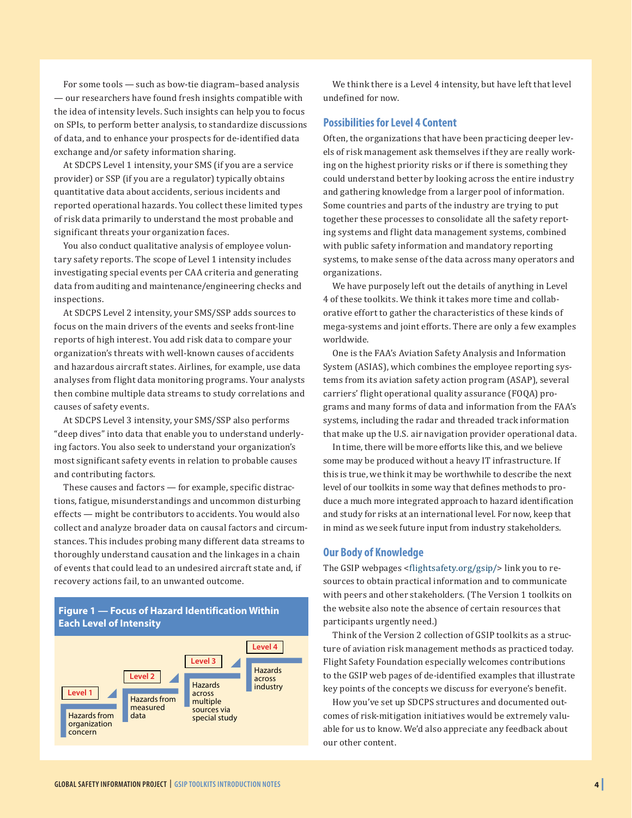<span id="page-4-0"></span>For some tools — such as bow-tie diagram–based analysis — our researchers have found fresh insights compatible with the idea of intensity levels. Such insights can help you to focus on SPIs, to perform better analysis, to standardize discussions of data, and to enhance your prospects for de-identified data exchange and/or safety information sharing.

At SDCPS Level 1 intensity, your SMS (if you are a service provider) or SSP (if you are a regulator) typically obtains quantitative data about accidents, serious incidents and reported operational hazards. You collect these limited types of risk data primarily to understand the most probable and significant threats your organization faces.

You also conduct qualitative analysis of employee voluntary safety reports. The scope of Level 1 intensity includes investigating special events per CAA criteria and generating data from auditing and maintenance/engineering checks and inspections.

At SDCPS Level 2 intensity, your SMS/SSP adds sources to focus on the main drivers of the events and seeks front-line reports of high interest. You add risk data to compare your organization's threats with well-known causes of accidents and hazardous aircraft states. Airlines, for example, use data analyses from flight data monitoring programs. Your analysts then combine multiple data streams to study correlations and causes of safety events.

At SDCPS Level 3 intensity, your SMS/SSP also performs "deep dives" into data that enable you to understand underlying factors. You also seek to understand your organization's most significant safety events in relation to probable causes and contributing factors.

These causes and factors — for example, specific distractions, fatigue, misunderstandings and uncommon disturbing effects — might be contributors to accidents. You would also collect and analyze broader data on causal factors and circumstances. This includes probing many different data streams to thoroughly understand causation and the linkages in a chain of events that could lead to an undesired aircraft state and, if recovery actions fail, to an unwanted outcome.

#### **Figure 1 — Focus of Hazard Identification Within Each Level of Intensity**



We think there is a Level 4 intensity, but have left that level undefined for now.

#### **Possibilities for Level 4 Content**

Often, the organizations that have been practicing deeper levels of risk management ask themselves if they are really working on the highest priority risks or if there is something they could understand better by looking across the entire industry and gathering knowledge from a larger pool of information. Some countries and parts of the industry are trying to put together these processes to consolidate all the safety reporting systems and flight data management systems, combined with public safety information and mandatory reporting systems, to make sense of the data across many operators and organizations.

We have purposely left out the details of anything in Level 4 of these toolkits. We think it takes more time and collaborative effort to gather the characteristics of these kinds of mega-systems and joint efforts. There are only a few examples worldwide.

One is the FAA's Aviation Safety Analysis and Information System (ASIAS), which combines the employee reporting systems from its aviation safety action program (ASAP), several carriers' flight operational quality assurance (FOQA) programs and many forms of data and information from the FAA's systems, including the radar and threaded track information that make up the U.S. air navigation provider operational data.

In time, there will be more efforts like this, and we believe some may be produced without a heavy IT infrastructure. If this is true, we think it may be worthwhile to describe the next level of our toolkits in some way that defines methods to produce a much more integrated approach to hazard identification and study for risks at an international level. For now, keep that in mind as we seek future input from industry stakeholders.

#### **Our Body of Knowledge**

The GSIP webpages <[flightsafety.org/gsip/](http://flightsafety.org/gsip/)> link you to resources to obtain practical information and to communicate with peers and other stakeholders. (The Version 1 toolkits on the website also note the absence of certain resources that participants urgently need.)

Think of the Version 2 collection of GSIP toolkits as a structure of aviation risk management methods as practiced today. Flight Safety Foundation especially welcomes contributions to the GSIP web pages of de-identified examples that illustrate key points of the concepts we discuss for everyone's benefit.

How you've set up SDCPS structures and documented outcomes of risk-mitigation initiatives would be extremely valuable for us to know. We'd also appreciate any feedback about our other content.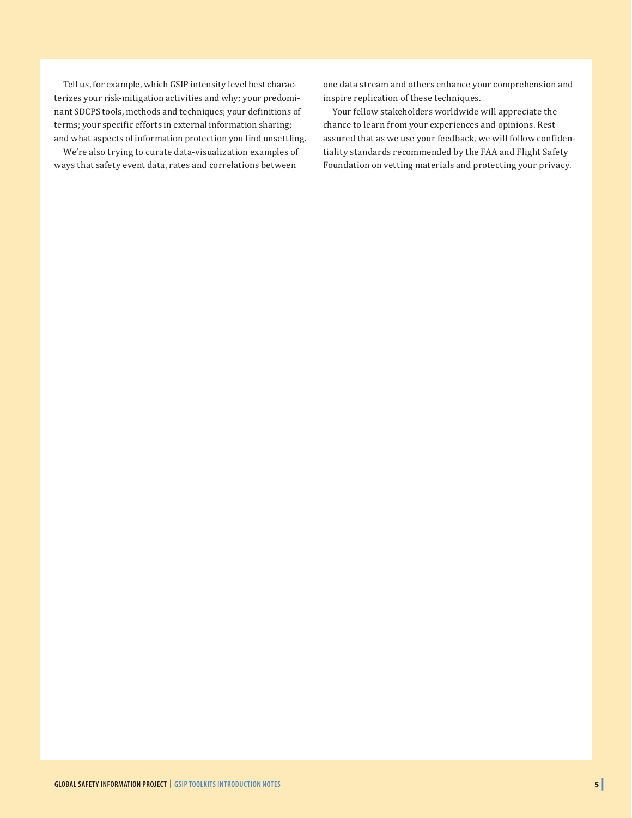Tell us, for example, which GSIP intensity level best characterizes your risk-mitigation activities and why; your predominant SDCPS tools, methods and techniques; your definitions of terms; your specific efforts in external information sharing; and what aspects of information protection you find unsettling.

We're also trying to curate data-visualization examples of ways that safety event data, rates and correlations between

one data stream and others enhance your comprehension and inspire replication of these techniques.

Your fellow stakeholders worldwide will appreciate the chance to learn from your experiences and opinions. Rest assured that as we use your feedback, we will follow confidentiality standards recommended by the FAA and Flight Safety Foundation on vetting materials and protecting your privacy.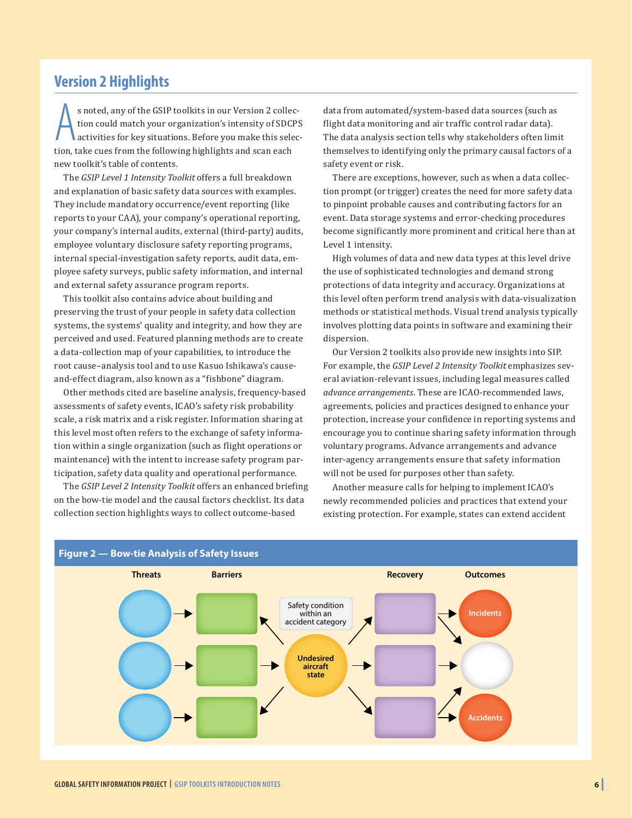## <span id="page-6-0"></span>**Version 2 Highlights**

s noted, any of the GSIP toolkits in our Version 2 colled tion could match your organization's intensity of SDCI activities for key situations. Before you make this sele tion, take cues from the following highlights and sc s noted, any of the GSIP toolkits in our Version 2 collection could match your organization's intensity of SDCPS activities for key situations. Before you make this selecnew toolkit's table of contents.

The *GSIP Level 1 Intensity Toolkit* offers a full breakdown and explanation of basic safety data sources with examples. They include mandatory occurrence/event reporting (like reports to your CAA), your company's operational reporting, your company's internal audits, external (third-party) audits, employee voluntary disclosure safety reporting programs, internal special-investigation safety reports, audit data, employee safety surveys, public safety information, and internal and external safety assurance program reports.

This toolkit also contains advice about building and preserving the trust of your people in safety data collection systems, the systems' quality and integrity, and how they are perceived and used. Featured planning methods are to create a data-collection map of your capabilities, to introduce the root cause–analysis tool and to use Kasuo Ishikawa's causeand-effect diagram, also known as a "fishbone" diagram.

Other methods cited are baseline analysis, frequency-based assessments of safety events, ICAO's safety risk probability scale, a risk matrix and a risk register. Information sharing at this level most often refers to the exchange of safety information within a single organization (such as flight operations or maintenance) with the intent to increase safety program participation, safety data quality and operational performance.

The *GSIP Level 2 Intensity Toolkit* offers an enhanced briefing on the bow-tie model and the causal factors checklist. Its data collection section highlights ways to collect outcome-based

data from automated/system-based data sources (such as flight data monitoring and air traffic control radar data). The data analysis section tells why stakeholders often limit themselves to identifying only the primary causal factors of a safety event or risk.

There are exceptions, however, such as when a data collection prompt (or trigger) creates the need for more safety data to pinpoint probable causes and contributing factors for an event. Data storage systems and error-checking procedures become significantly more prominent and critical here than at Level 1 intensity.

High volumes of data and new data types at this level drive the use of sophisticated technologies and demand strong protections of data integrity and accuracy. Organizations at this level often perform trend analysis with data-visualization methods or statistical methods. Visual trend analysis typically involves plotting data points in software and examining their dispersion.

Our Version 2 toolkits also provide new insights into SIP. For example, the *GSIP Level 2 Intensity Toolkit* emphasizes several aviation-relevant issues, including legal measures called *advance arrangements*. These are ICAO-recommended laws, agreements, policies and practices designed to enhance your protection, increase your confidence in reporting systems and encourage you to continue sharing safety information through voluntary programs. Advance arrangements and advance inter-agency arrangements ensure that safety information will not be used for purposes other than safety.

Another measure calls for helping to implement ICAO's newly recommended policies and practices that extend your existing protection. For example, states can extend accident

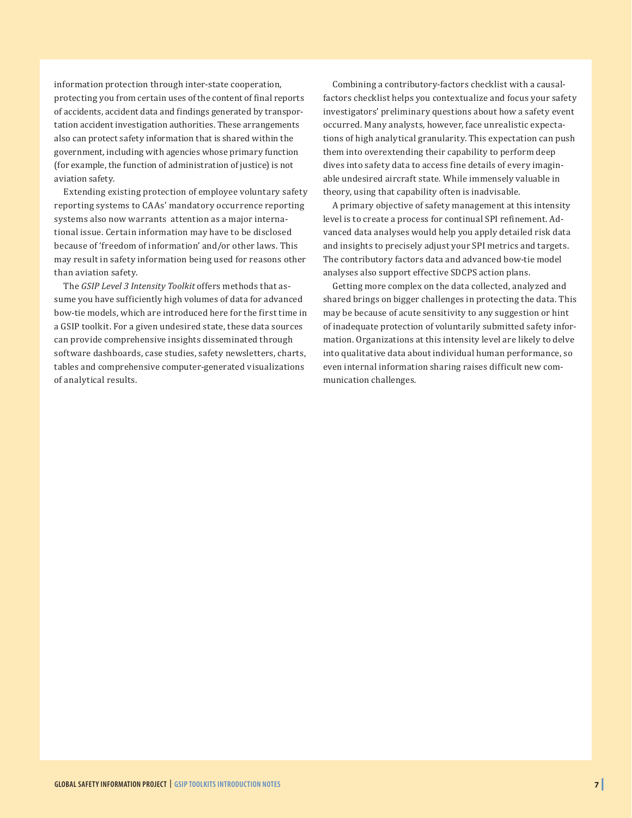information protection through inter-state cooperation, protecting you from certain uses of the content of final reports of accidents, accident data and findings generated by transportation accident investigation authorities. These arrangements also can protect safety information that is shared within the government, including with agencies whose primary function (for example, the function of administration of justice) is not aviation safety.

Extending existing protection of employee voluntary safety reporting systems to CAAs' mandatory occurrence reporting systems also now warrants attention as a major international issue. Certain information may have to be disclosed because of 'freedom of information' and/or other laws. This may result in safety information being used for reasons other than aviation safety.

The *GSIP Level 3 Intensity Toolkit* offers methods that assume you have sufficiently high volumes of data for advanced bow-tie models, which are introduced here for the first time in a GSIP toolkit. For a given undesired state, these data sources can provide comprehensive insights disseminated through software dashboards, case studies, safety newsletters, charts, tables and comprehensive computer-generated visualizations of analytical results.

Combining a contributory-factors checklist with a causalfactors checklist helps you contextualize and focus your safety investigators' preliminary questions about how a safety event occurred. Many analysts, however, face unrealistic expectations of high analytical granularity. This expectation can push them into overextending their capability to perform deep dives into safety data to access fine details of every imaginable undesired aircraft state. While immensely valuable in theory, using that capability often is inadvisable.

A primary objective of safety management at this intensity level is to create a process for continual SPI refinement. Advanced data analyses would help you apply detailed risk data and insights to precisely adjust your SPI metrics and targets. The contributory factors data and advanced bow-tie model analyses also support effective SDCPS action plans.

Getting more complex on the data collected, analyzed and shared brings on bigger challenges in protecting the data. This may be because of acute sensitivity to any suggestion or hint of inadequate protection of voluntarily submitted safety information. Organizations at this intensity level are likely to delve into qualitative data about individual human performance, so even internal information sharing raises difficult new communication challenges.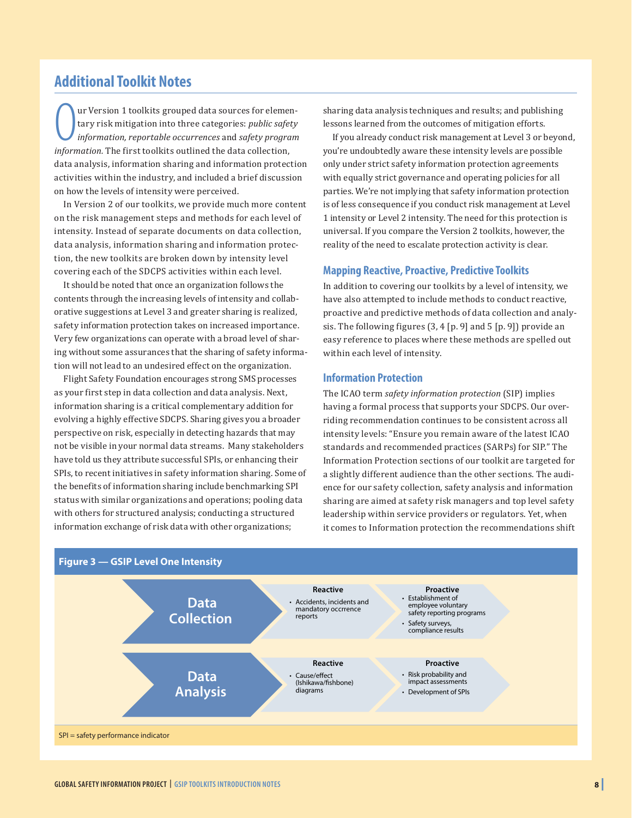## <span id="page-8-0"></span>**Additional Toolkit Notes**

**O**ur Version 1 toolkits grouped data sources for elementary risk mitigation into three categories: *public safet* information, *reportable occurrences* and *safety programformation*. The first toolkits outlined the data c ur Version 1 toolkits grouped data sources for elementary risk mitigation into three categories: *public safety information, reportable occurrences* and *safety program*  data analysis, information sharing and information protection activities within the industry, and included a brief discussion on how the levels of intensity were perceived.

In Version 2 of our toolkits, we provide much more content on the risk management steps and methods for each level of intensity. Instead of separate documents on data collection, data analysis, information sharing and information protection, the new toolkits are broken down by intensity level covering each of the SDCPS activities within each level.

It should be noted that once an organization follows the contents through the increasing levels of intensity and collaborative suggestions at Level 3 and greater sharing is realized, safety information protection takes on increased importance. Very few organizations can operate with a broad level of sharing without some assurances that the sharing of safety information will not lead to an undesired effect on the organization.

Flight Safety Foundation encourages strong SMS processes as your first step in data collection and data analysis. Next, information sharing is a critical complementary addition for evolving a highly effective SDCPS. Sharing gives you a broader perspective on risk, especially in detecting hazards that may not be visible in your normal data streams. Many stakeholders have told us they attribute successful SPIs, or enhancing their SPIs, to recent initiatives in safety information sharing. Some of the benefits of information sharing include benchmarking SPI status with similar organizations and operations; pooling data with others for structured analysis; conducting a structured information exchange of risk data with other organizations;

sharing data analysis techniques and results; and publishing lessons learned from the outcomes of mitigation efforts.

If you already conduct risk management at Level 3 or beyond, you're undoubtedly aware these intensity levels are possible only under strict safety information protection agreements with equally strict governance and operating policies for all parties. We're not implying that safety information protection is of less consequence if you conduct risk management at Level 1 intensity or Level 2 intensity. The need for this protection is universal. If you compare the Version 2 toolkits, however, the reality of the need to escalate protection activity is clear.

#### **Mapping Reactive, Proactive, Predictive Toolkits**

In addition to covering our toolkits by a level of intensity, we have also attempted to include methods to conduct reactive, proactive and predictive methods of data collection and analysis. The following figures (3, 4 [p. 9] and 5 [p. 9]) provide an easy reference to places where these methods are spelled out within each level of intensity.

#### **Information Protection**

The ICAO term *safety information protection* (SIP) implies having a formal process that supports your SDCPS. Our overriding recommendation continues to be consistent across all intensity levels: "Ensure you remain aware of the latest ICAO standards and recommended practices (SARPs) for SIP." The Information Protection sections of our toolkit are targeted for a slightly different audience than the other sections. The audience for our safety collection, safety analysis and information sharing are aimed at safety risk managers and top level safety leadership within service providers or regulators. Yet, when it comes to Information protection the recommendations shift

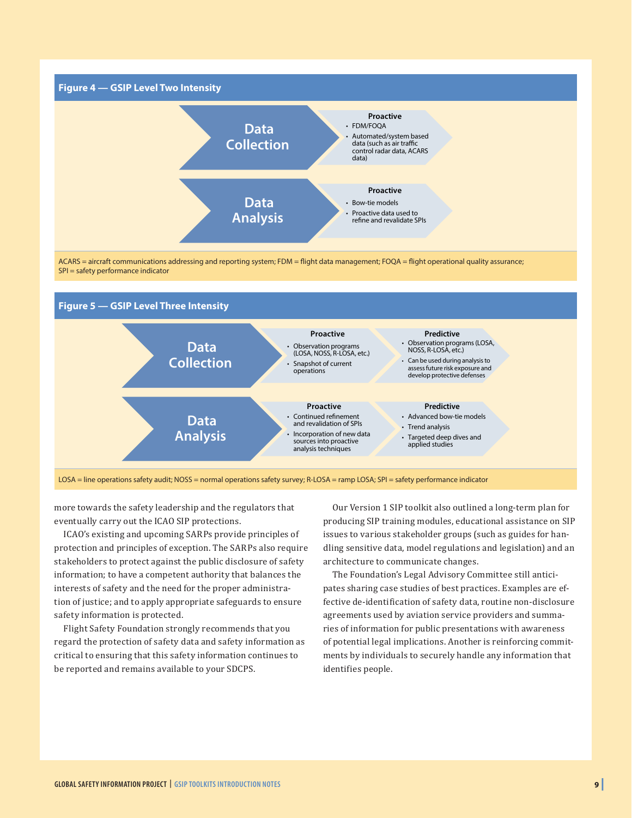

ACARS = aircraft communications addressing and reporting system; FDM = flight data management; FOQA = flight operational quality assurance; SPI = safety performance indicator



more towards the safety leadership and the regulators that

eventually carry out the ICAO SIP protections. ICAO's existing and upcoming SARPs provide principles of

protection and principles of exception. The SARPs also require stakeholders to protect against the public disclosure of safety information; to have a competent authority that balances the interests of safety and the need for the proper administration of justice; and to apply appropriate safeguards to ensure safety information is protected.

Flight Safety Foundation strongly recommends that you regard the protection of safety data and safety information as critical to ensuring that this safety information continues to be reported and remains available to your SDCPS.

Our Version 1 SIP toolkit also outlined a long-term plan for producing SIP training modules, educational assistance on SIP issues to various stakeholder groups (such as guides for handling sensitive data, model regulations and legislation) and an architecture to communicate changes.

The Foundation's Legal Advisory Committee still anticipates sharing case studies of best practices. Examples are effective de-identification of safety data, routine non-disclosure agreements used by aviation service providers and summaries of information for public presentations with awareness of potential legal implications. Another is reinforcing commitments by individuals to securely handle any information that identifies people.